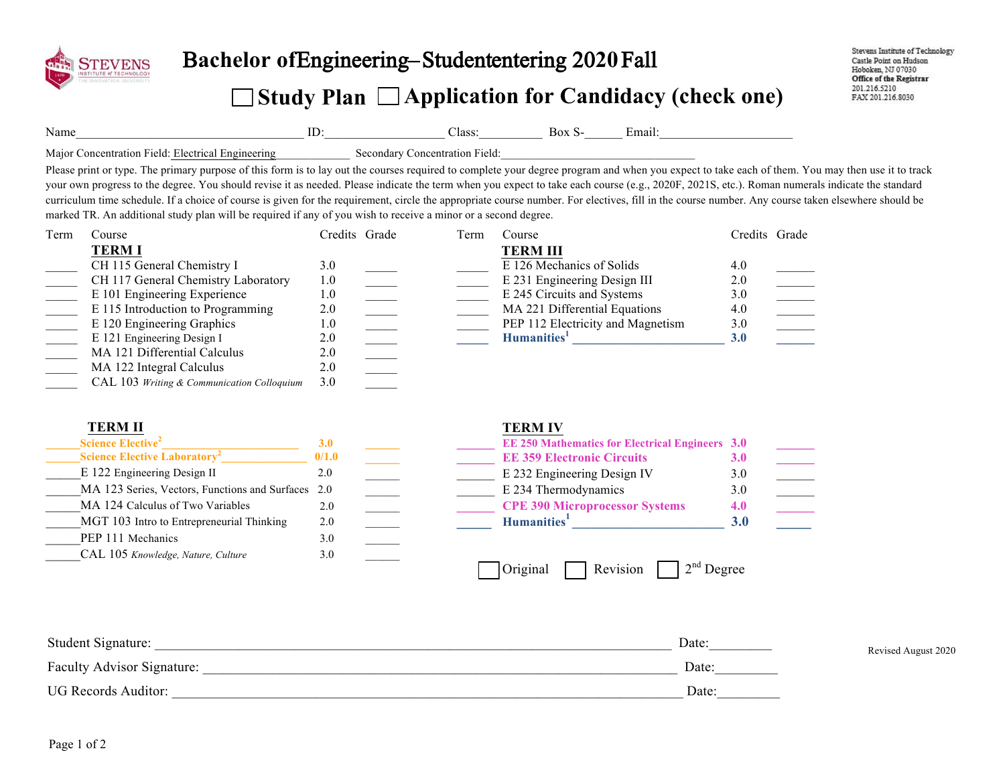

## Bachelor ofEngineering–Studententering 2020 Fall

## **Study Plan Application for Candidacy (check one)**

Name\_\_\_\_\_\_\_\_\_\_\_\_\_\_\_\_\_\_\_\_\_\_\_\_\_\_\_\_\_\_\_\_\_\_\_\_ ID:\_\_\_\_\_\_\_\_\_\_\_\_\_\_\_\_\_\_\_ Class:\_\_\_\_\_\_\_\_\_\_ Box S-\_\_\_\_\_\_ Email:\_\_\_\_\_\_\_\_\_\_\_\_\_\_\_\_\_\_\_\_\_

Major Concentration Field: Electrical Engineering Secondary Concentration Field:

Please print or type. The primary purpose of this form is to lay out the courses required to complete your degree program and when you expect to take each of them. You may then use it to track your own progress to the degree. You should revise it as needed. Please indicate the term when you expect to take each course (e.g., 2020F, 2021S, etc.). Roman numerals indicate the standard curriculum time schedule. If a choice of course is given for the requirement, circle the appropriate course number. For electives, fill in the course number. Any course taken elsewhere should be marked TR. An additional study plan will be required if any of you wish to receive a minor or a second degree.

| Term | Course                                     | Credits Grade | Term | Course                            | Credits Grade |  |
|------|--------------------------------------------|---------------|------|-----------------------------------|---------------|--|
|      | <b>TERMI</b>                               |               |      | <b>TERM III</b>                   |               |  |
|      | CH 115 General Chemistry I                 | 3.0           |      | E 126 Mechanics of Solids         | 4.0           |  |
|      | CH 117 General Chemistry Laboratory        | 1.0           |      | E 231 Engineering Design III      | 2.0           |  |
|      | E 101 Engineering Experience               | 1.0           |      | E 245 Circuits and Systems        | 3.0           |  |
|      | E 115 Introduction to Programming          | 2.0           |      | MA 221 Differential Equations     | 4.0           |  |
|      | E 120 Engineering Graphics                 | 1.0           |      | PEP 112 Electricity and Magnetism | 3.0           |  |
|      | E 121 Engineering Design I                 | 2.0           |      | Humanities <sup>1</sup>           | 3.0           |  |
|      | MA 121 Differential Calculus               | 2.0           |      |                                   |               |  |
|      | MA 122 Integral Calculus                   | 2.0           |      |                                   |               |  |
|      | CAL 103 Writing & Communication Colloquium | 3.0           |      |                                   |               |  |

| <b>TERM II</b>                                     |            | <b>TERM IV</b> |                                                        |            |
|----------------------------------------------------|------------|----------------|--------------------------------------------------------|------------|
| <b>Science Elective</b> <sup>2</sup>               | <b>3.0</b> |                | <b>EE 250 Mathematics for Electrical Engineers 3.0</b> |            |
| <b>Science Elective Laboratory<sup>2</sup></b>     | 0/1.0      |                | <b>EE 359 Electronic Circuits</b>                      | <b>3.0</b> |
| E 122 Engineering Design II                        | 2.0        |                | E 232 Engineering Design IV                            | 3.0        |
| MA 123 Series, Vectors, Functions and Surfaces 2.0 |            |                | E 234 Thermodynamics                                   | 3.0        |
| MA 124 Calculus of Two Variables                   | 2.0        |                | <b>CPE 390 Microprocessor Systems</b>                  | 4.0        |
| MGT 103 Intro to Entrepreneurial Thinking          | 2.0        |                | Humanities <sup>1</sup>                                | <b>3.0</b> |
| PEP 111 Mechanics                                  | 3.0        |                |                                                        |            |
| CAL 105 Knowledge, Nature, Culture                 | 3.0        |                |                                                        |            |
|                                                    |            | Original       | $2nd$ Degree<br>Revision                               |            |

| Student Signature:                | Date: | Revised August 2020 |
|-----------------------------------|-------|---------------------|
| <b>Faculty Advisor Signature:</b> | Date: |                     |
| <b>UG Records Auditor:</b>        | Date: |                     |